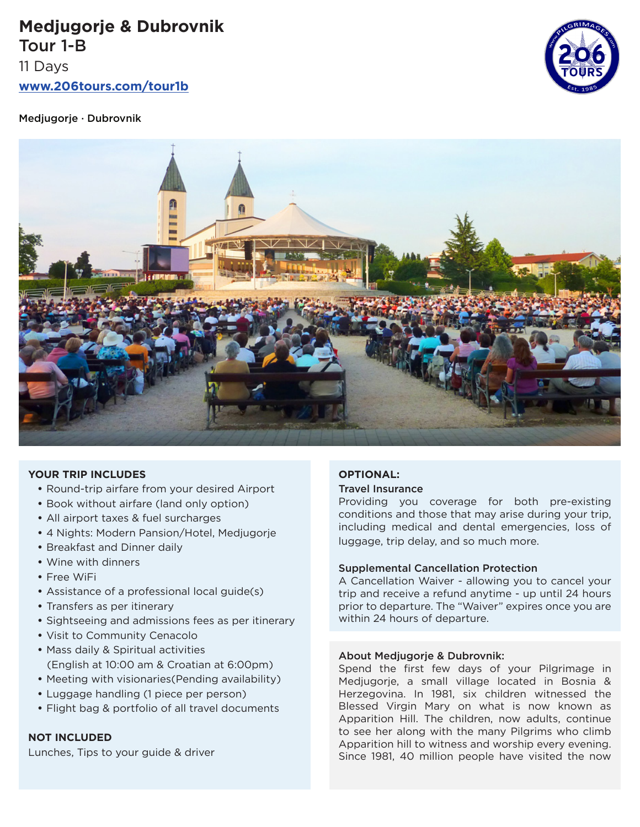**Medjugorje & Dubrovnik** Tour 1-B 11 Days

**www.206tours.com/tour1b**

Medjugorje · Dubrovnik





## **YOUR TRIP INCLUDES**

- Round-trip airfare from your desired Airport
- Book without airfare (land only option)
- All airport taxes & fuel surcharges
- 4 Nights: Modern Pansion/Hotel, Medjugorje
- Breakfast and Dinner daily
- Wine with dinners
- Free WiFi
- Assistance of a professional local guide(s)
- Transfers as per itinerary
- Sightseeing and admissions fees as per itinerary
- Visit to Community Cenacolo
- Mass daily & Spiritual activities (English at 10:00 am & Croatian at 6:00pm)
- Meeting with visionaries(Pending availability)
- Luggage handling (1 piece per person)
- Flight bag & portfolio of all travel documents

# **NOT INCLUDED**

Lunches, Tips to your guide & driver

# **OPTIONAL:**

#### Travel Insurance

Providing you coverage for both pre-existing conditions and those that may arise during your trip, including medical and dental emergencies, loss of luggage, trip delay, and so much more.

#### Supplemental Cancellation Protection

A Cancellation Waiver - allowing you to cancel your trip and receive a refund anytime - up until 24 hours prior to departure. The "Waiver" expires once you are within 24 hours of departure.

#### About Medjugorje & Dubrovnik:

Spend the first few days of your Pilgrimage in Medjugorje, a small village located in Bosnia & Herzegovina. In 1981, six children witnessed the Blessed Virgin Mary on what is now known as Apparition Hill. The children, now adults, continue to see her along with the many Pilgrims who climb Apparition hill to witness and worship every evening. Since 1981, 40 million people have visited the now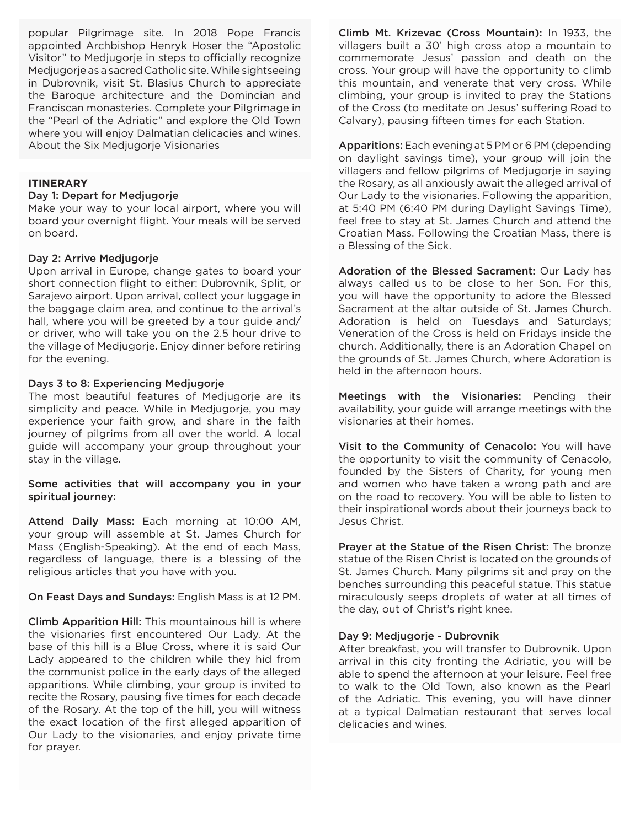popular Pilgrimage site. In 2018 Pope Francis appointed Archbishop Henryk Hoser the "Apostolic Visitor" to Medjugorje in steps to officially recognize Medjugorje as a sacred Catholic site. While sightseeing in Dubrovnik, visit St. Blasius Church to appreciate the Baroque architecture and the Domincian and Franciscan monasteries. Complete your Pilgrimage in the "Pearl of the Adriatic" and explore the Old Town where you will enjoy Dalmatian delicacies and wines. About the Six Medjugorje Visionaries

# **ITINERARY**

## Day 1: Depart for Medjugorje

Make your way to your local airport, where you will board your overnight flight. Your meals will be served on board.

## Day 2: Arrive Medjugorje

Upon arrival in Europe, change gates to board your short connection flight to either: Dubrovnik, Split, or Sarajevo airport. Upon arrival, collect your luggage in the baggage claim area, and continue to the arrival's hall, where you will be greeted by a tour guide and/ or driver, who will take you on the 2.5 hour drive to the village of Medjugorje. Enjoy dinner before retiring for the evening.

#### Days 3 to 8: Experiencing Medjugorje

The most beautiful features of Medjugorje are its simplicity and peace. While in Medjugorje, you may experience your faith grow, and share in the faith journey of pilgrims from all over the world. A local guide will accompany your group throughout your stay in the village.

# Some activities that will accompany you in your spiritual journey:

Attend Daily Mass: Each morning at 10:00 AM, your group will assemble at St. James Church for Mass (English-Speaking). At the end of each Mass, regardless of language, there is a blessing of the religious articles that you have with you.

## On Feast Days and Sundays: English Mass is at 12 PM.

Climb Apparition Hill: This mountainous hill is where the visionaries first encountered Our Lady. At the base of this hill is a Blue Cross, where it is said Our Lady appeared to the children while they hid from the communist police in the early days of the alleged apparitions. While climbing, your group is invited to recite the Rosary, pausing five times for each decade of the Rosary. At the top of the hill, you will witness the exact location of the first alleged apparition of Our Lady to the visionaries, and enjoy private time for prayer.

Climb Mt. Krizevac (Cross Mountain): In 1933, the villagers built a 30' high cross atop a mountain to commemorate Jesus' passion and death on the cross. Your group will have the opportunity to climb this mountain, and venerate that very cross. While climbing, your group is invited to pray the Stations of the Cross (to meditate on Jesus' suffering Road to Calvary), pausing fifteen times for each Station.

Apparitions: Each evening at 5 PM or 6 PM (depending on daylight savings time), your group will join the villagers and fellow pilgrims of Medjugorje in saying the Rosary, as all anxiously await the alleged arrival of Our Lady to the visionaries. Following the apparition, at 5:40 PM (6:40 PM during Daylight Savings Time), feel free to stay at St. James Church and attend the Croatian Mass. Following the Croatian Mass, there is a Blessing of the Sick.

Adoration of the Blessed Sacrament: Our Lady has always called us to be close to her Son. For this, you will have the opportunity to adore the Blessed Sacrament at the altar outside of St. James Church. Adoration is held on Tuesdays and Saturdays; Veneration of the Cross is held on Fridays inside the church. Additionally, there is an Adoration Chapel on the grounds of St. James Church, where Adoration is held in the afternoon hours.

Meetings with the Visionaries: Pending their availability, your guide will arrange meetings with the visionaries at their homes.

Visit to the Community of Cenacolo: You will have the opportunity to visit the community of Cenacolo, founded by the Sisters of Charity, for young men and women who have taken a wrong path and are on the road to recovery. You will be able to listen to their inspirational words about their journeys back to Jesus Christ.

Prayer at the Statue of the Risen Christ: The bronze statue of the Risen Christ is located on the grounds of St. James Church. Many pilgrims sit and pray on the benches surrounding this peaceful statue. This statue miraculously seeps droplets of water at all times of the day, out of Christ's right knee.

## Day 9: Medjugorje - Dubrovnik

After breakfast, you will transfer to Dubrovnik. Upon arrival in this city fronting the Adriatic, you will be able to spend the afternoon at your leisure. Feel free to walk to the Old Town, also known as the Pearl of the Adriatic. This evening, you will have dinner at a typical Dalmatian restaurant that serves local delicacies and wines.